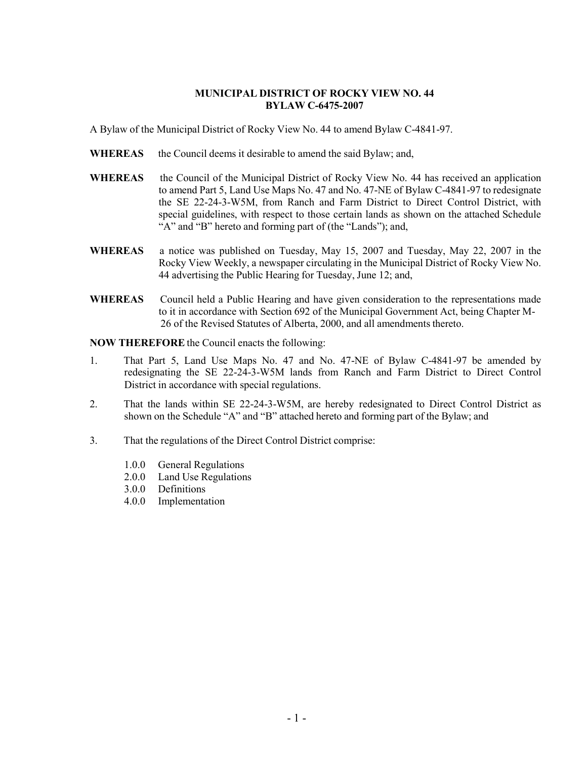#### **MUNICIPAL DISTRICT OF ROCKY VIEW NO. 44 BYLAW C-6475-2007**

A Bylaw of the Municipal District of Rocky View No. 44 to amend Bylaw C-4841-97.

- **WHEREAS** the Council deems it desirable to amend the said Bylaw; and,
- **WHEREAS** the Council of the Municipal District of Rocky View No. 44 has received an application to amend Part 5, Land Use Maps No. 47 and No. 47-NE of Bylaw C-4841-97 to redesignate the SE 22-24-3-W5M, from Ranch and Farm District to Direct Control District, with special guidelines, with respect to those certain lands as shown on the attached Schedule "A" and "B" hereto and forming part of (the "Lands"); and,
- **WHEREAS** a notice was published on Tuesday, May 15, 2007 and Tuesday, May 22, 2007 in the Rocky View Weekly, a newspaper circulating in the Municipal District of Rocky View No. 44 advertising the Public Hearing for Tuesday, June 12; and,
- **WHEREAS** Council held a Public Hearing and have given consideration to the representations made to it in accordance with Section 692 of the Municipal Government Act, being Chapter M-26 of the Revised Statutes of Alberta, 2000, and all amendments thereto.

**NOW THEREFORE** the Council enacts the following:

- 1. That Part 5, Land Use Maps No. 47 and No. 47-NE of Bylaw C-4841-97 be amended by redesignating the SE 22-24-3-W5M lands from Ranch and Farm District to Direct Control District in accordance with special regulations.
- 2. That the lands within SE 22-24-3-W5M, are hereby redesignated to Direct Control District as shown on the Schedule "A" and "B" attached hereto and forming part of the Bylaw; and
- 3. That the regulations of the Direct Control District comprise:
	- 1.0.0 General Regulations
	- 2.0.0 Land Use Regulations
	- 3.0.0 Definitions
	- 4.0.0 Implementation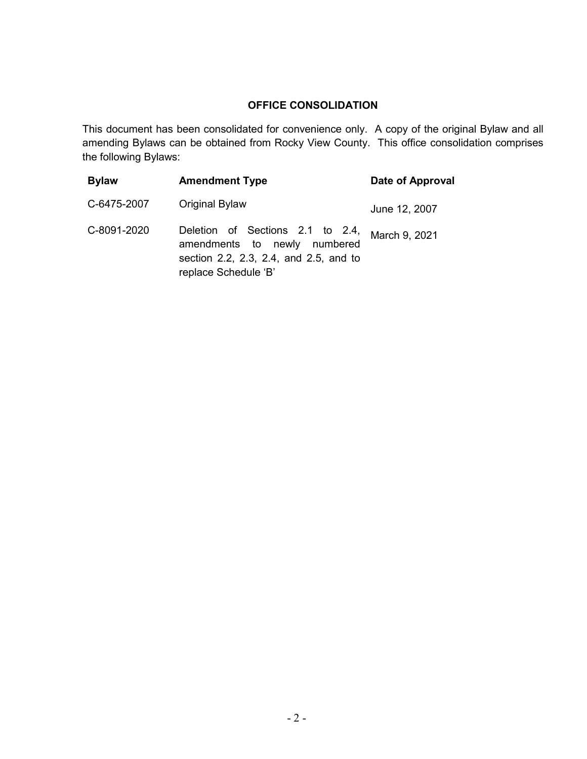# **OFFICE CONSOLIDATION**

This document has been consolidated for convenience only. A copy of the original Bylaw and all amending Bylaws can be obtained from Rocky View County. This office consolidation comprises the following Bylaws:

| <b>Bylaw</b> | <b>Amendment Type</b>                                                                                                              | Date of Approval |
|--------------|------------------------------------------------------------------------------------------------------------------------------------|------------------|
| C-6475-2007  | Original Bylaw                                                                                                                     | June 12, 2007    |
| C-8091-2020  | Deletion of Sections 2.1 to 2.4,<br>amendments to newly numbered<br>section 2.2, 2.3, 2.4, and 2.5, and to<br>replace Schedule 'B' | March 9, 2021    |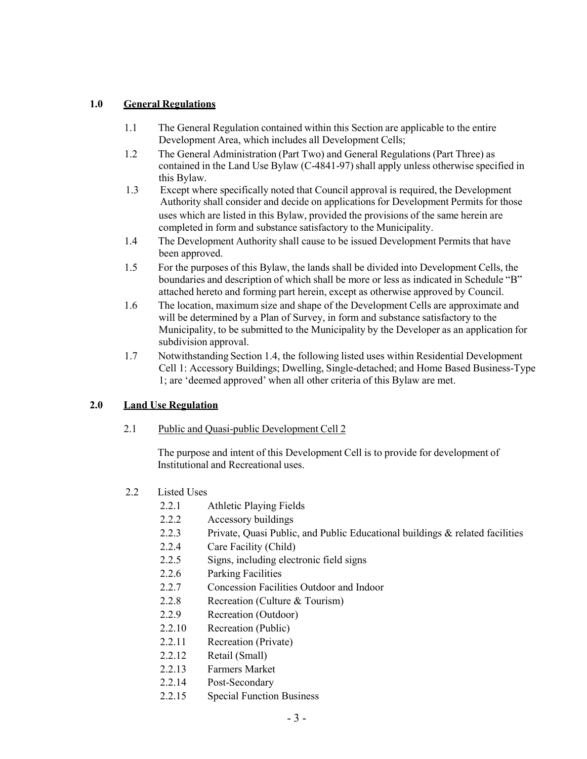### **1.0 General Regulations**

- 1.1 The General Regulation contained within this Section are applicable to the entire Development Area, which includes all Development Cells;
- 1.2 The General Administration (Part Two) and General Regulations (Part Three) as contained in the Land Use Bylaw (C-4841-97) shall apply unless otherwise specified in this Bylaw.
- 1.3 Except where specifically noted that Council approval is required, the Development Authority shall consider and decide on applications for Development Permits for those uses which are listed in this Bylaw, provided the provisions of the same herein are completed in form and substance satisfactory to the Municipality.
- 1.4 The Development Authority shall cause to be issued Development Permits that have been approved.
- 1.5 For the purposes of this Bylaw, the lands shall be divided into Development Cells, the boundaries and description of which shall be more or less as indicated in Schedule "B" attached hereto and forming part herein, except as otherwise approved by Council.
- 1.6 The location, maximum size and shape of the Development Cells are approximate and will be determined by a Plan of Survey, in form and substance satisfactory to the Municipality, to be submitted to the Municipality by the Developer as an application for subdivision approval.
- 1.7 Notwithstanding Section 1.4, the following listed uses within Residential Development Cell 1: Accessory Buildings; Dwelling, Single-detached; and Home Based Business-Type 1; are 'deemed approved' when all other criteria of this Bylaw are met.

#### **2.0 Land Use Regulation**

#### 2.1 Public and Quasi-public Development Cell 2

The purpose and intent of this Development Cell is to provide for development of Institutional and Recreational uses.

- 2.2 Listed Uses
	- 2.2.1 Athletic Playing Fields
	- 2.2.2 Accessory buildings
	- 2.2.3 Private, Quasi Public, and Public Educational buildings & related facilities
	- 2.2.4 Care Facility (Child)
	- 2.2.5 Signs, including electronic field signs
	- 2.2.6 Parking Facilities
	- 2.2.7 Concession Facilities Outdoor and Indoor
	- 2.2.8 Recreation (Culture & Tourism)
	- 2.2.9 Recreation (Outdoor)
	- 2.2.10 Recreation (Public)
	- 2.2.11 Recreation (Private)
	- 2.2.12 Retail (Small)
	- 2.2.13 Farmers Market
	- 2.2.14 Post-Secondary
	- 2.2.15 Special Function Business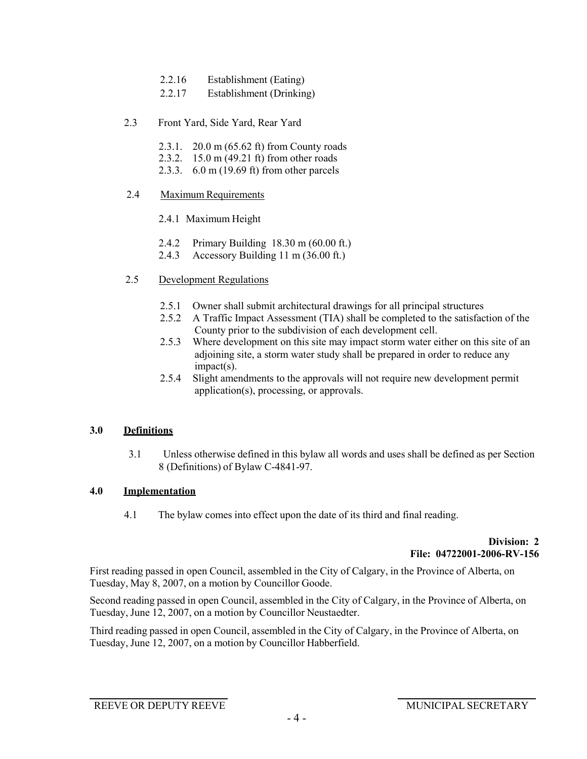- 2.2.16 Establishment (Eating)
- 2.2.17 Establishment (Drinking)
- 2.3 Front Yard, Side Yard, Rear Yard
	- 2.3.1. 20.0 m (65.62 ft) from County roads
	- 2.3.2. 15.0 m (49.21 ft) from other roads
	- 2.3.3. 6.0 m (19.69 ft) from other parcels
- 2.4 Maximum Requirements
	- 2.4.1 Maximum Height
	- 2.4.2 Primary Building 18.30 m (60.00 ft.)
	- 2.4.3 Accessory Building 11 m (36.00 ft.)
- 2.5 Development Regulations
	- 2.5.1 Owner shall submit architectural drawings for all principal structures
	- 2.5.2 A Traffic Impact Assessment (TIA) shall be completed to the satisfaction of the County prior to the subdivision of each development cell.
	- 2.5.3 Where development on this site may impact storm water either on this site of an adjoining site, a storm water study shall be prepared in order to reduce any impact(s).
	- 2.5.4 Slight amendments to the approvals will not require new development permit application(s), processing, or approvals.

## **3.0 Definitions**

3.1 Unless otherwise defined in this bylaw all words and uses shall be defined as per Section 8 (Definitions) of Bylaw C-4841-97.

# **4.0 Implementation**

4.1 The bylaw comes into effect upon the date of its third and final reading.

## **Division: 2 File: 04722001-2006-RV-156**

First reading passed in open Council, assembled in the City of Calgary, in the Province of Alberta, on Tuesday, May 8, 2007, on a motion by Councillor Goode.

Second reading passed in open Council, assembled in the City of Calgary, in the Province of Alberta, on Tuesday, June 12, 2007, on a motion by Councillor Neustaedter.

Third reading passed in open Council, assembled in the City of Calgary, in the Province of Alberta, on Tuesday, June 12, 2007, on a motion by Councillor Habberfield.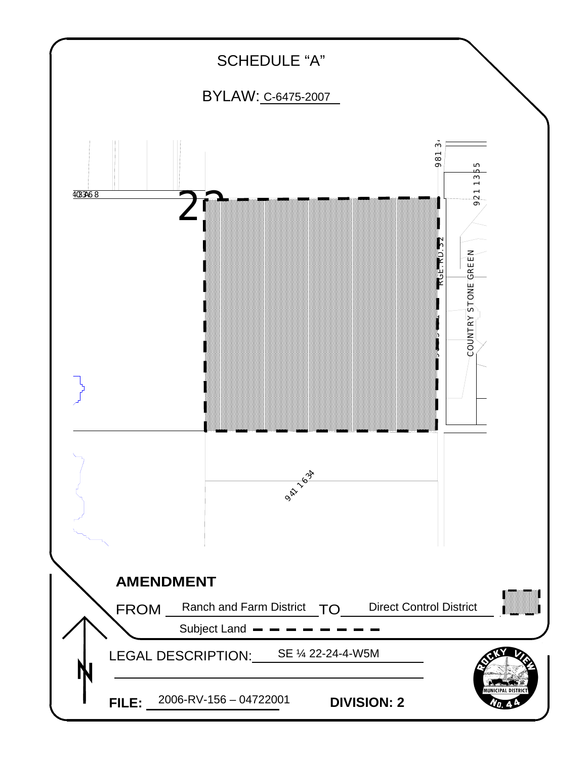